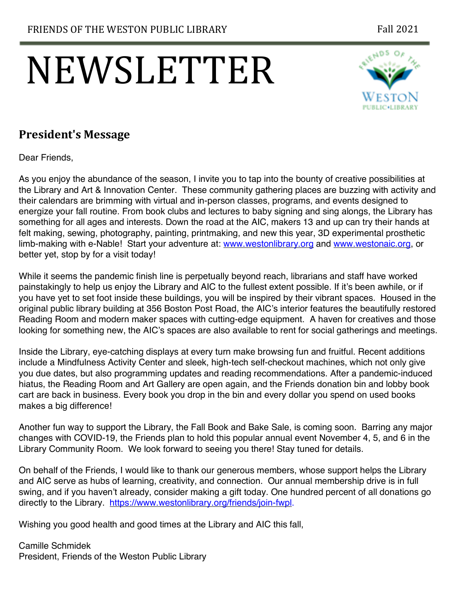# NEWSLETTER



# **President's Message**

Dear Friends,

As you enjoy the abundance of the season, I invite you to tap into the bounty of creative possibilities at the Library and Art & Innovation Center. These community gathering places are buzzing with activity and their calendars are brimming with virtual and in-person classes, programs, and events designed to energize your fall routine. From book clubs and lectures to baby signing and sing alongs, the Library has something for all ages and interests. Down the road at the AIC, makers 13 and up can try their hands at felt making, sewing, photography, painting, printmaking, and new this year, 3D experimental prosthetic limb-making with e-Nable! Start your adventure at: www.westonlibrary.org and www.westonaic.org, or better yet, stop by for a visit today!

While it seems the pandemic finish line is perpetually beyond reach, librarians and staff have worked painstakingly to help us enjoy the Library and AIC to the fullest extent possible. If it's been awhile, or if you have yet to set foot inside these buildings, you will be inspired by their vibrant spaces. Housed in the original public library building at 356 Boston Post Road, the AIC's interior features the beautifully restored Reading Room and modern maker spaces with cutting-edge equipment. A haven for creatives and those looking for something new, the AIC's spaces are also available to rent for social gatherings and meetings.

Inside the Library, eye-catching displays at every turn make browsing fun and fruitful. Recent additions include a Mindfulness Activity Center and sleek, high-tech self-checkout machines, which not only give you due dates, but also programming updates and reading recommendations. After a pandemic-induced hiatus, the Reading Room and Art Gallery are open again, and the Friends donation bin and lobby book cart are back in business. Every book you drop in the bin and every dollar you spend on used books makes a big difference!

Another fun way to support the Library, the Fall Book and Bake Sale, is coming soon. Barring any major changes with COVID-19, the Friends plan to hold this popular annual event November 4, 5, and 6 in the Library Community Room. We look forward to seeing you there! Stay tuned for details.

On behalf of the Friends, I would like to thank our generous members, whose support helps the Library and AIC serve as hubs of learning, creativity, and connection. Our annual membership drive is in full swing, and if you haven't already, consider making a gift today. One hundred percent of all donations go directly to the Library. https://www.westonlibrary.org/friends/join-fwpl.

Wishing you good health and good times at the Library and AIC this fall,

Camille Schmidek President, Friends of the Weston Public Library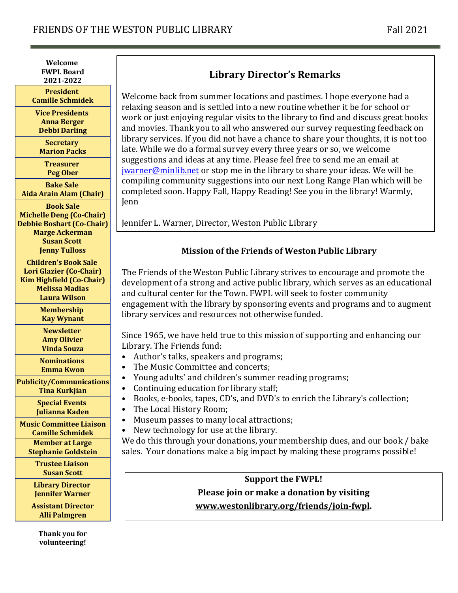**Welcome FWPL Board 2021-2022**

**President Camille Schmidek**

**Vice Presidents Anna Berger Debbi Darling**

**Secretary Marion Packs** 

**Treasurer Peg Ober**

**Bake Sale Aida Arain Alam (Chair)**

**Book Sale Michelle Deng (Co-Chair) Debbie Boshart (Co-Chair) Marge Ackerman Susan Scott Jenny Tulloss**

**Children's Book Sale Lori Glazier (Co-Chair) Kim Highfield (Co-Chair) Melissa Madias Laura Wilson**

> **Membership Kay Wynant**

**Newsletter Amy Olivier Vinda Souza**

**Nominations Emma Kwon**

**Publicity/Communications Tina Kurkjian**

> **Special Events Julianna Kaden**

**Music Committee Liaison Camille Schmidek Member at Large Stephanie Goldstein**

> **Trustee Liaison Susan Scott**

**Library Director Jennifer Warner**

**Assistant Director Alli Palmgren** 

> **Thank** you for **volunteering!**

## **Library Director's Remarks**

Welcome back from summer locations and pastimes. I hope everyone had a relaxing season and is settled into a new routine whether it be for school or work or just enjoying regular visits to the library to find and discuss great books and movies. Thank you to all who answered our survey requesting feedback on library services. If you did not have a chance to share your thoughts, it is not too late. While we do a formal survey every three years or so, we welcome suggestions and ideas at any time. Please feel free to send me an email at  $jwarner@minlib.net$  or stop me in the library to share your ideas. We will be compiling community suggestions into our next Long Range Plan which will be completed soon. Happy Fall, Happy Reading! See you in the library! Warmly, Jenn

Jennifer L. Warner, Director, Weston Public Library

#### **Mission of the Friends of Weston Public Library**

The Friends of the Weston Public Library strives to encourage and promote the development of a strong and active public library, which serves as an educational and cultural center for the Town. FWPL will seek to foster community engagement with the library by sponsoring events and programs and to augment library services and resources not otherwise funded.

Since 1965, we have held true to this mission of supporting and enhancing our Library. The Friends fund:

- Author's talks, speakers and programs;
- The Music Committee and concerts;
- Young adults' and children's summer reading programs;
- Continuing education for library staff;
- Books, e-books, tapes, CD's, and DVD's to enrich the Library's collection;
- The Local History Room;
- Museum passes to many local attractions;
- New technology for use at the library.

We do this through your donations, your membership dues, and our book / bake sales. Your donations make a big impact by making these programs possible!

### **Support the FWPL! Please join or make a donation by visiting www.westonlibrary.org/friends/join-fwpl.**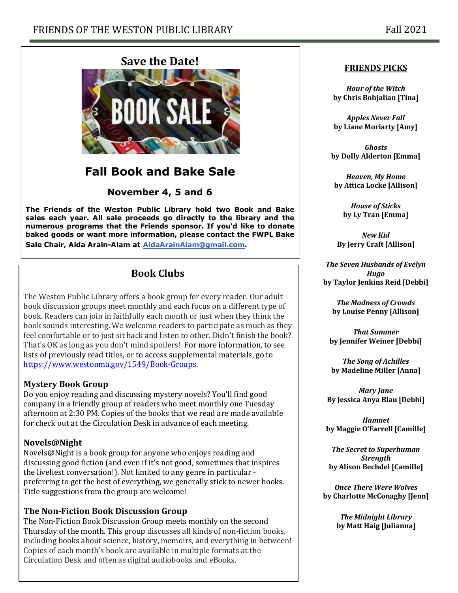

# **Fall Book and Bake Sale**

**November 4, 5 and 6**

**The Friends of the Weston Public Library hold two Book and Bake sales each year. All sale proceeds go directly to the library and the numerous programs that the Friends sponsor. If you'd like to donate baked goods or want more information, please contact the FWPL Bake Sale Chair, Aida Arain-Alam at AidaArainAlam@gmail.com.**

## **Book Clubs**

The Weston Public Library offers a book group for every reader. Our adult book discussion groups meet monthly and each focus on a different type of book. Readers can join in faithfully each month or just when they think the book sounds interesting. We welcome readers to participate as much as they feel comfortable or to just sit back and listen to other. Didn't finish the book? That's OK as long as you don't mind spoilers! For more information, to see lists of previously read titles, or to access supplemental materials, go to https://www.westonma.gov/1549/Book-Groups.

#### **Mystery Book Group**

Do you enjoy reading and discussing mystery novels? You'll find good company in a friendly group of readers who meet monthly one Tuesday afternoon at 2:30 PM. Copies of the books that we read are made available for check out at the Circulation Desk in advance of each meeting.

#### **Novels@Night**

Novels@Night is a book group for anyone who enjoys reading and discussing good fiction (and even if it's not good, sometimes that inspires the liveliest conversation!). Not limited to any genre in particular preferring to get the best of everything, we generally stick to newer books. Title suggestions from the group are welcome!

#### **The Non-Fiction Book Discussion Group**

The Non-Fiction Book Discussion Group meets monthly on the second Thursday of the month. This group discusses all kinds of non-fiction books, including books about science, history, memoirs, and everything in between! Copies of each month's book are available in multiple formats at the Circulation Desk and often as digital audiobooks and eBooks.

#### **FRIENDS PICKS**

*Hour of the Witch* **by Chris Bohjalian [Tina]**

*Apples Never Fall* **by Liane Moriarty [Amy]**

*Ghosts* **by Dolly Alderton [Emma]**

*Heaven, My Home* **by Attica Locke [Allison]**

> *House of Sticks* **by Ly Tran [Emma]**

*New Kid* **By Jerry Craft [Allison]**

**The Seven Husbands of Evelyn** *Hugo* **by Taylor Jenkins Reid [Debbi]**

**The Madness of Crowds by Louise Penny [Allison]**

*That Summer* **by Jennifer Weiner [Debbi]**

**The Song of Achilles by Madeline Miller [Anna]**

*Mary Jane* **By Jessica Anya Blau [Debbi]**

*Hamnet* **by Maggie O'Farrell [Camille]**

**The Secret to Superhuman** *Strength* **by Alison Bechdel [Camille]**

*Once There Were Wolves* **by Charlotte McConaghy [Jenn]**

> *The Midnight Library* **by Matt Haig [Julianna]**